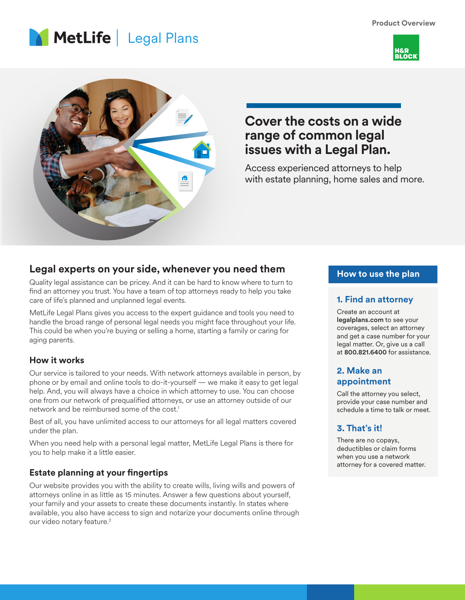**Product Overview**







# **Cover the costs on a wide range of common legal issues with a Legal Plan.**

Access experienced attorneys to help with estate planning, home sales and more.

## **Legal experts on your side, whenever you need them**

Quality legal assistance can be pricey. And it can be hard to know where to turn to find an attorney you trust. You have a team of top attorneys ready to help you take care of life's planned and unplanned legal events.

MetLife Legal Plans gives you access to the expert guidance and tools you need to handle the broad range of personal legal needs you might face throughout your life. This could be when you're buying or selling a home, starting a family or caring for aging parents.

#### **How it works**

Our service is tailored to your needs. With network attorneys available in person, by phone or by email and online tools to do-it-yourself — we make it easy to get legal help. And, you will always have a choice in which attorney to use. You can choose one from our network of prequalified attorneys, or use an attorney outside of our network and be reimbursed some of the cost.<sup>1</sup>

Best of all, you have unlimited access to our attorneys for all legal matters covered under the plan.

When you need help with a personal legal matter, MetLife Legal Plans is there for you to help make it a little easier.

### **Estate planning at your fingertips**

Our website provides you with the ability to create wills, living wills and powers of attorneys online in as little as 15 minutes. Answer a few questions about yourself, your family and your assets to create these documents instantly. In states where available, you also have access to sign and notarize your documents online through our video notary feature.<sup>2</sup>

### **How to use the plan**

#### **1. Find an attorney**

Create an account at legalplans.com to see your coverages, select an attorney and get a case number for your legal matter. Or, give us a call at 800.821.6400 for assistance.

#### **2. Make an appointment**

Call the attorney you select, provide your case number and schedule a time to talk or meet.

### **3. That's it!**

There are no copays, deductibles or claim forms when you use a network attorney for a covered matter.